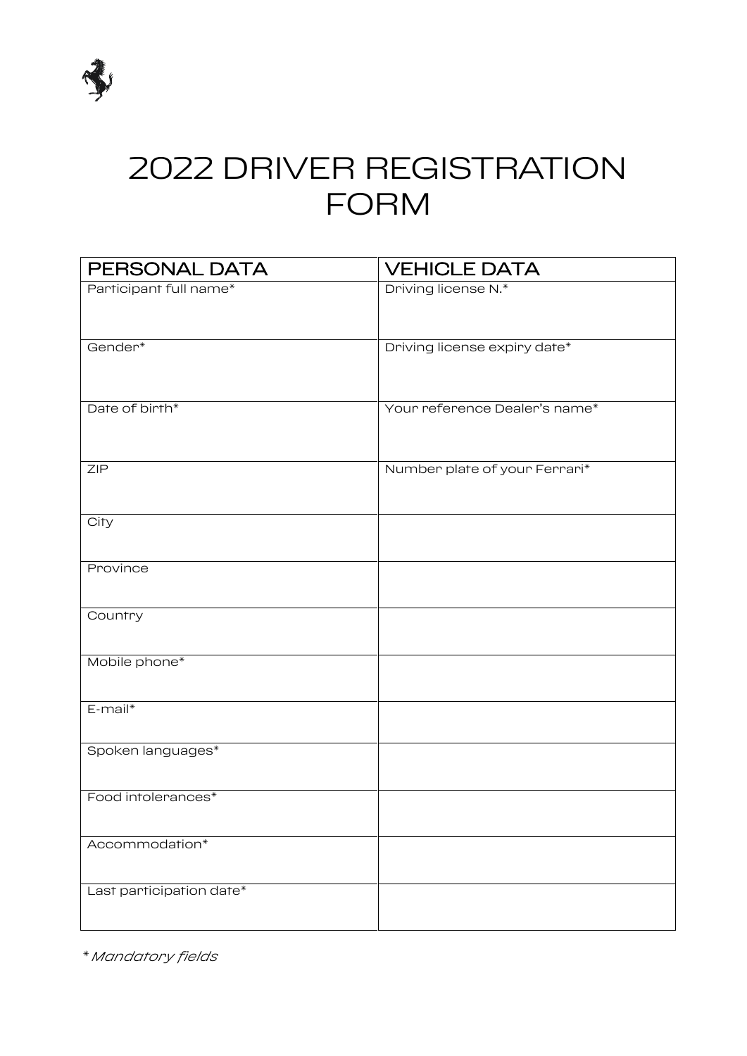

# 2022 DRIVER REGISTRATION FORM

| PERSONAL DATA            | <b>VEHICLE DATA</b>           |
|--------------------------|-------------------------------|
| Participant full name*   | Driving license N.*           |
|                          |                               |
| Gender*                  | Driving license expiry date*  |
|                          |                               |
|                          |                               |
| Date of birth*           | Your reference Dealer's name* |
|                          |                               |
| <b>ZIP</b>               | Number plate of your Ferrari* |
|                          |                               |
| City                     |                               |
|                          |                               |
| Province                 |                               |
|                          |                               |
| Country                  |                               |
| Mobile phone*            |                               |
|                          |                               |
| $E$ -mail $*$            |                               |
|                          |                               |
| Spoken languages*        |                               |
| Food intolerances*       |                               |
|                          |                               |
| Accommodation*           |                               |
|                          |                               |
| Last participation date* |                               |
|                          |                               |

*\* Mandatory fields*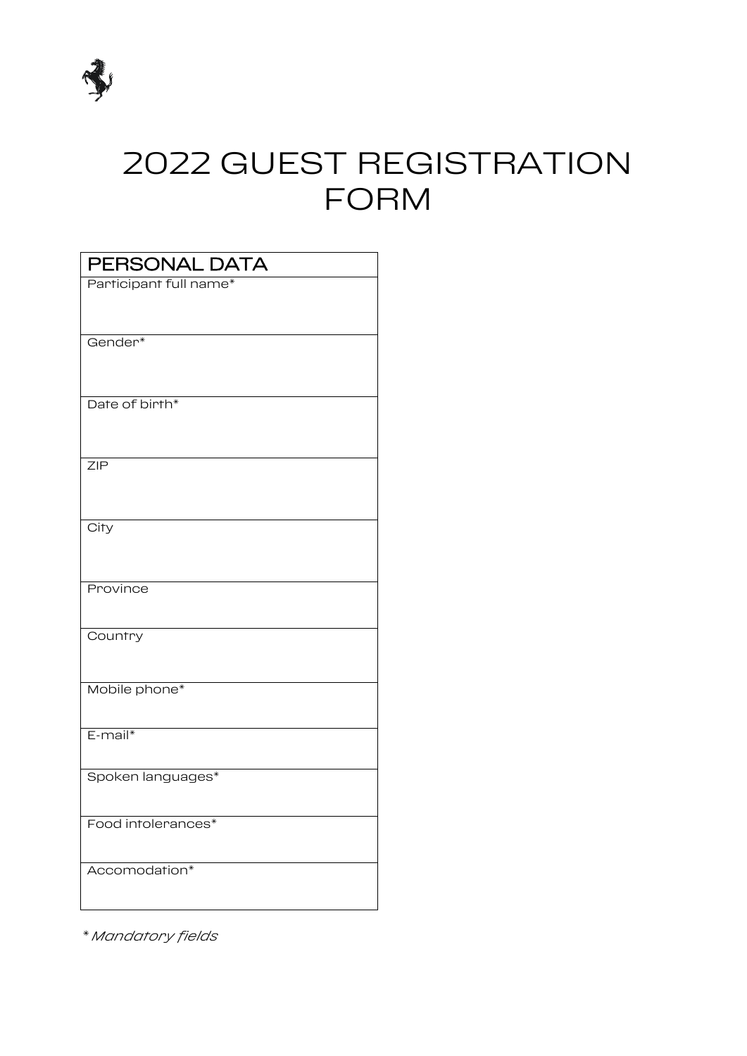

# 2022 GUEST REGISTRATION FORM

| PERSONAL DATA          |  |
|------------------------|--|
| Participant full name* |  |
|                        |  |
| Gender*                |  |
|                        |  |
| Date of birth*         |  |
|                        |  |
|                        |  |
| <b>ZIP</b>             |  |
|                        |  |
| City                   |  |
|                        |  |
| Province               |  |
|                        |  |
| Country                |  |
|                        |  |
| Mobile phone*          |  |
|                        |  |
| E-mail*                |  |
| Spoken languages*      |  |
|                        |  |
| Food intolerances*     |  |
|                        |  |
| Accomodation*          |  |
|                        |  |

*\* Mandatory fields*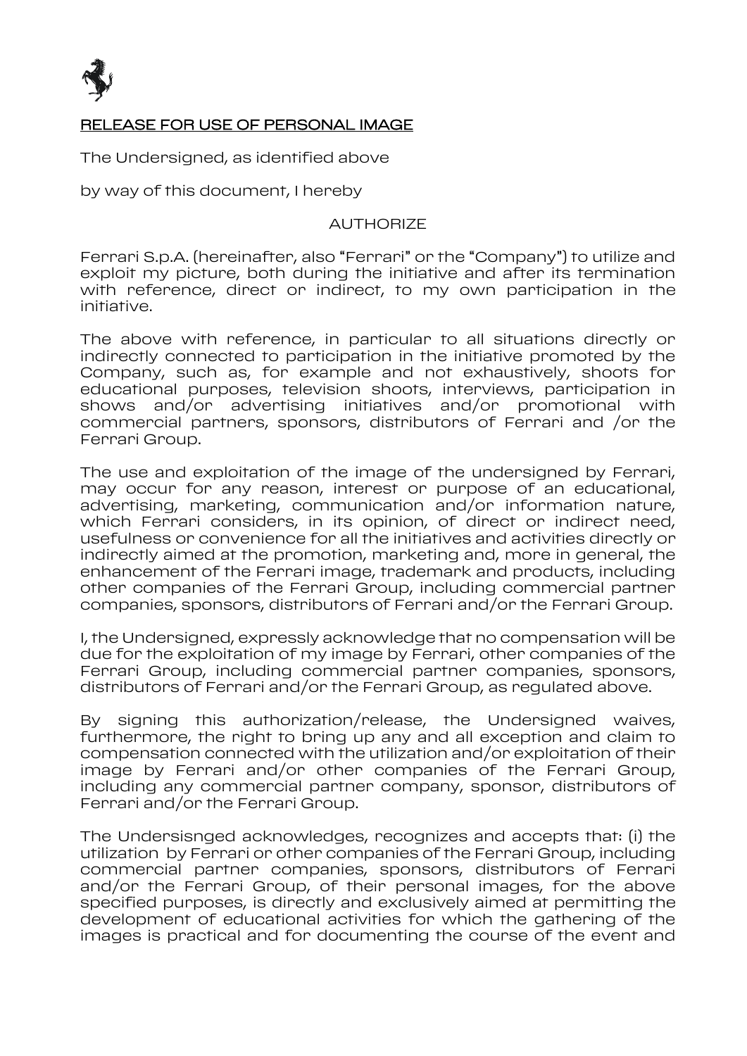

#### RELEASE FOR USE OF PERSONAL IMAGE

The Undersigned, as identified above

by way of this document, I hereby

#### AUTHORIZE

Ferrari S.p.A. (hereinafter, also "Ferrari" or the "Company") to utilize and exploit my picture, both during the initiative and after its termination with reference, direct or indirect, to my own participation in the initiative.

The above with reference, in particular to all situations directly or indirectly connected to participation in the initiative promoted by the Company, such as, for example and not exhaustively, shoots for educational purposes, television shoots, interviews, participation in shows and/or advertising initiatives and/or promotional with commercial partners, sponsors, distributors of Ferrari and /or the Ferrari Group.

The use and exploitation of the image of the undersigned by Ferrari, may occur for any reason, interest or purpose of an educational, advertising, marketing, communication and/or information nature, which Ferrari considers, in its opinion, of direct or indirect need, usefulness or convenience for all the initiatives and activities directly or indirectly aimed at the promotion, marketing and, more in general, the enhancement of the Ferrari image, trademark and products, including other companies of the Ferrari Group, including commercial partner companies, sponsors, distributors of Ferrari and/or the Ferrari Group.

I, the Undersigned, expressly acknowledge that no compensation will be due for the exploitation of my image by Ferrari, other companies of the Ferrari Group, including commercial partner companies, sponsors, distributors of Ferrari and/or the Ferrari Group, as regulated above.

By signing this authorization/release, the Undersigned waives, furthermore, the right to bring up any and all exception and claim to compensation connected with the utilization and/or exploitation of their image by Ferrari and/or other companies of the Ferrari Group, including any commercial partner company, sponsor, distributors of Ferrari and/or the Ferrari Group.

The Undersisnged acknowledges, recognizes and accepts that: (i) the utilization by Ferrari or other companies of the Ferrari Group, including commercial partner companies, sponsors, distributors of Ferrari and/or the Ferrari Group, of their personal images, for the above specified purposes, is directly and exclusively aimed at permitting the development of educational activities for which the gathering of the images is practical and for documenting the course of the event and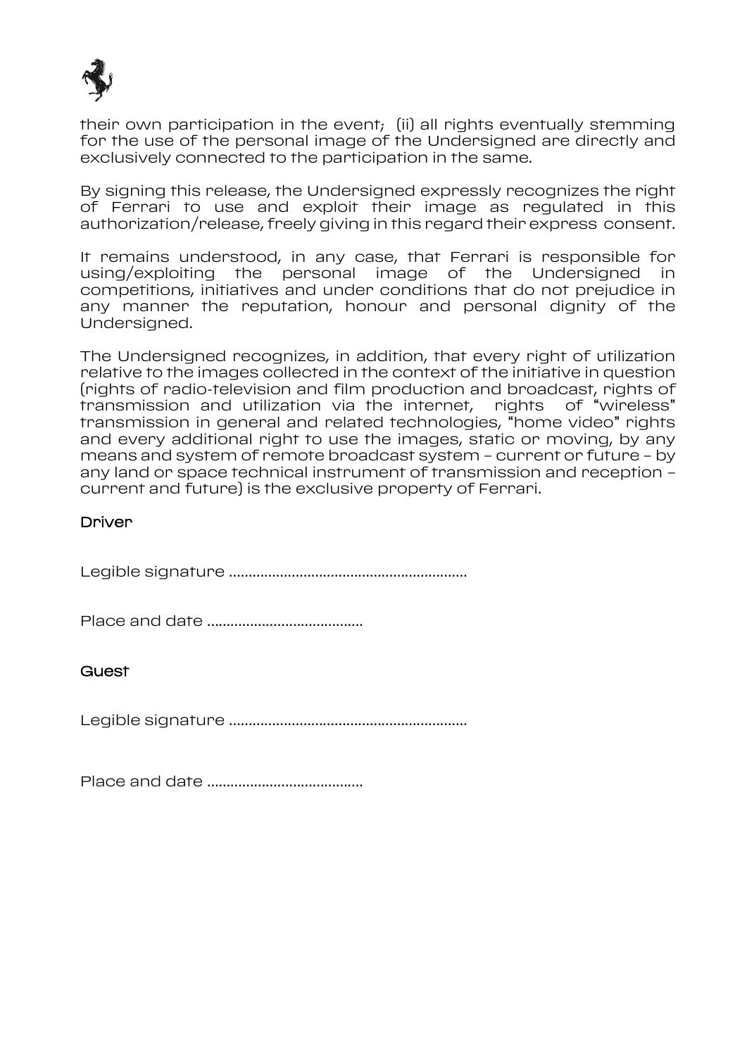

their own participation in the event; (ii) all rights eventually stemming for the use of the personal image of the Undersigned are directly and exclusively connected to the participation in the same.

By signing this release, the Undersigned expressly recognizes the right of Ferrari to use and exploit their image as regulated in this authorization/release, freely giving in this regard their express consent.

It remains understood, in any case, that Ferrari is responsible for using/exploiting the personal image of the Undersigned in competitions, initiatives and under conditions that do not prejudice in any manner the reputation, honour and personal dignity of the Undersigned.

The Undersigned recognizes, in addition, that every right of utilization relative to the images collected in the context of the initiative in question (rights of radio-television and film production and broadcast, rights of transmission and utilization via the internet, rights of "wireless" transmission in general and related technologies, "home video" rights and every additional right to use the images, static or moving, by any means and system of remote broadcast system – current or future – by any land or space technical instrument of transmission and reception – current and future) is the exclusive property of Ferrari.

### Driver

Legible signature …………………………………………………….

Place and date ………………………………….

**Guest** 

Legible signature …………………………………………………….

Place and date ………………………………….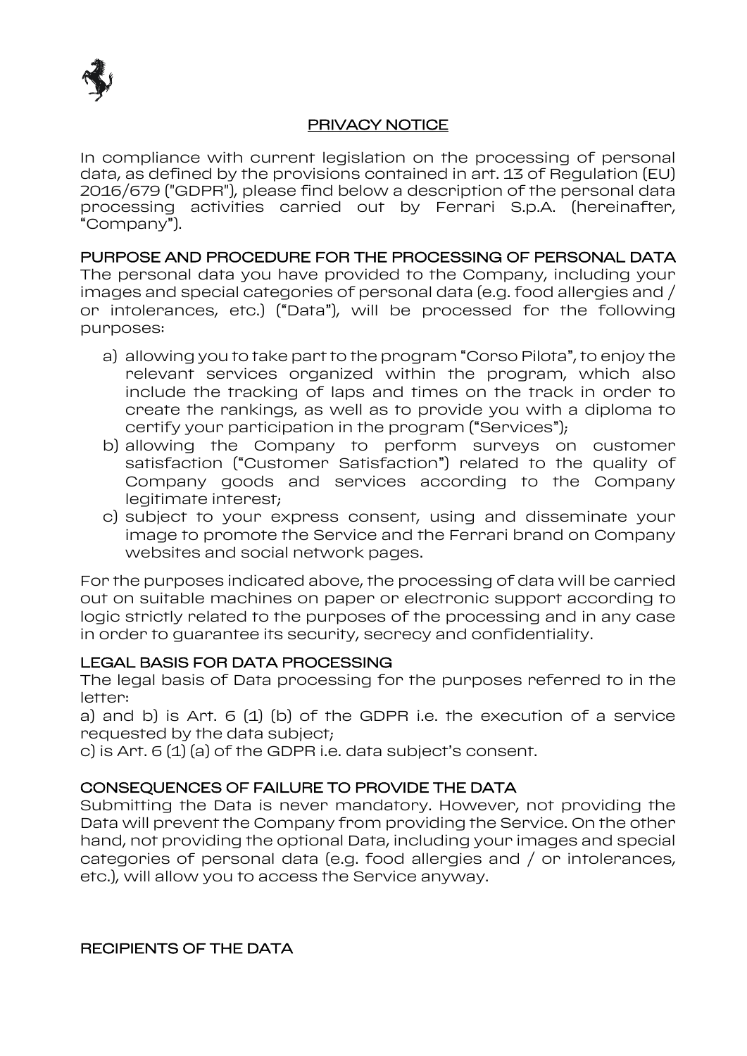

#### PRIVACY NOTICE

In compliance with current legislation on the processing of personal data, as defined by the provisions contained in art. 13 of Regulation (EU) 2016/679 ("GDPR"), please find below a description of the personal data processing activities carried out by Ferrari S.p.A. (hereinafter, "Company").

PURPOSE AND PROCEDURE FOR THE PROCESSING OF PERSONAL DATA The personal data you have provided to the Company, including your images and special categories of personal data (e.g. food allergies and / or intolerances, etc.) ("Data"), will be processed for the following purposes:

- a) allowing you to take part to the program "Corso Pilota", to enjoy the relevant services organized within the program, which also include the tracking of laps and times on the track in order to create the rankings, as well as to provide you with a diploma to certify your participation in the program ("Services");
- b) allowing the Company to perform surveys on customer satisfaction ("Customer Satisfaction") related to the quality of Company goods and services according to the Company legitimate interest;
- c) subject to your express consent, using and disseminate your image to promote the Service and the Ferrari brand on Company websites and social network pages.

For the purposes indicated above, the processing of data will be carried out on suitable machines on paper or electronic support according to logic strictly related to the purposes of the processing and in any case in order to guarantee its security, secrecy and confidentiality.

# LEGAL BASIS FOR DATA PROCESSING

The legal basis of Data processing for the purposes referred to in the letter:

a) and b) is Art.  $6(1)(b)$  of the GDPR i.e. the execution of a service requested by the data subject;

c) is Art. 6 (1) (a) of the GDPR i.e. data subject's consent.

# CONSEQUENCES OF FAILURE TO PROVIDE THE DATA

Submitting the Data is never mandatory. However, not providing the Data will prevent the Company from providing the Service. On the other hand, not providing the optional Data, including your images and special categories of personal data (e.g. food allergies and / or intolerances, etc.), will allow you to access the Service anyway.

RECIPIENTS OF THE DATA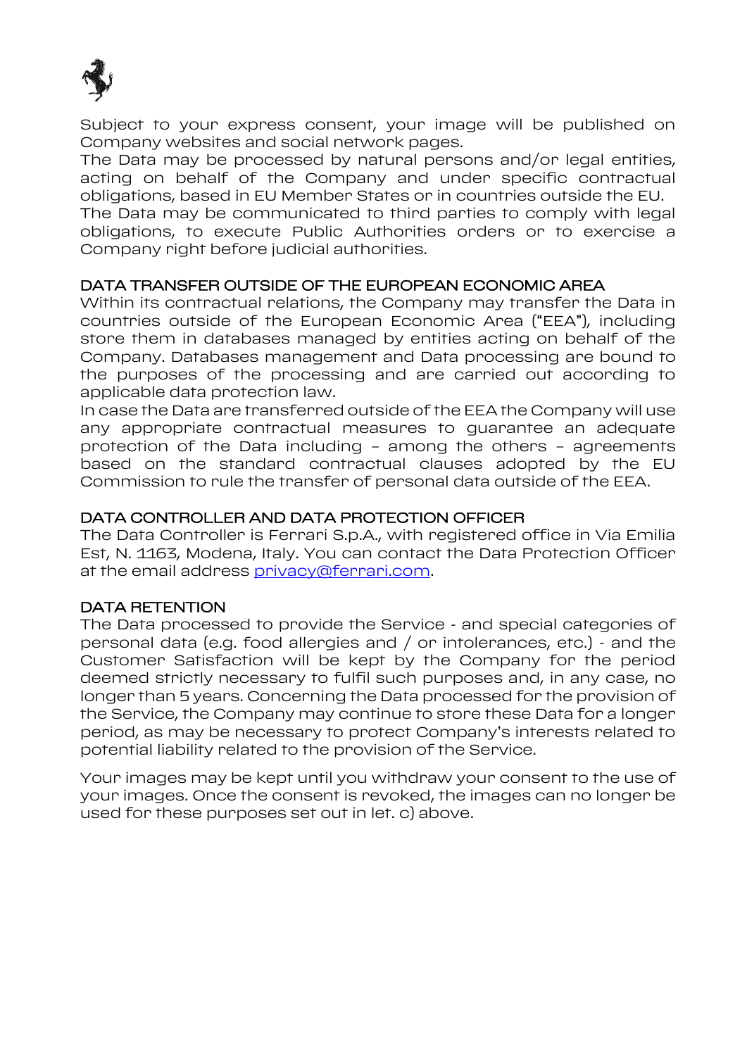

Subject to your express consent, your image will be published on Company websites and social network pages.

The Data may be processed by natural persons and/or legal entities, acting on behalf of the Company and under specific contractual obligations, based in EU Member States or in countries outside the EU.

The Data may be communicated to third parties to comply with legal obligations, to execute Public Authorities orders or to exercise a Company right before judicial authorities.

### DATA TRANSFER OUTSIDE OF THE EUROPEAN ECONOMIC AREA

Within its contractual relations, the Company may transfer the Data in countries outside of the European Economic Area ("EEA"), including store them in databases managed by entities acting on behalf of the Company. Databases management and Data processing are bound to the purposes of the processing and are carried out according to applicable data protection law.

In case the Data are transferred outside of the EEA the Company will use any appropriate contractual measures to guarantee an adequate protection of the Data including – among the others – agreements based on the standard contractual clauses adopted by the EU Commission to rule the transfer of personal data outside of the EEA.

### DATA CONTROLLER AND DATA PROTECTION OFFICER

The Data Controller is Ferrari S.p.A., with registered office in Via Emilia Est, N. 1163, Modena, Italy. You can contact the Data Protection Officer at the email address [privacy@ferrari.com.](mailto:privacy@ferrari.com)

# DATA RETENTION

The Data processed to provide the Service - and special categories of personal data (e.g. food allergies and / or intolerances, etc.) - and the Customer Satisfaction will be kept by the Company for the period deemed strictly necessary to fulfil such purposes and, in any case, no longer than 5 years. Concerning the Data processed for the provision of the Service, the Company may continue to store these Data for a longer period, as may be necessary to protect Company's interests related to potential liability related to the provision of the Service.

Your images may be kept until you withdraw your consent to the use of your images. Once the consent is revoked, the images can no longer be used for these purposes set out in let. c) above.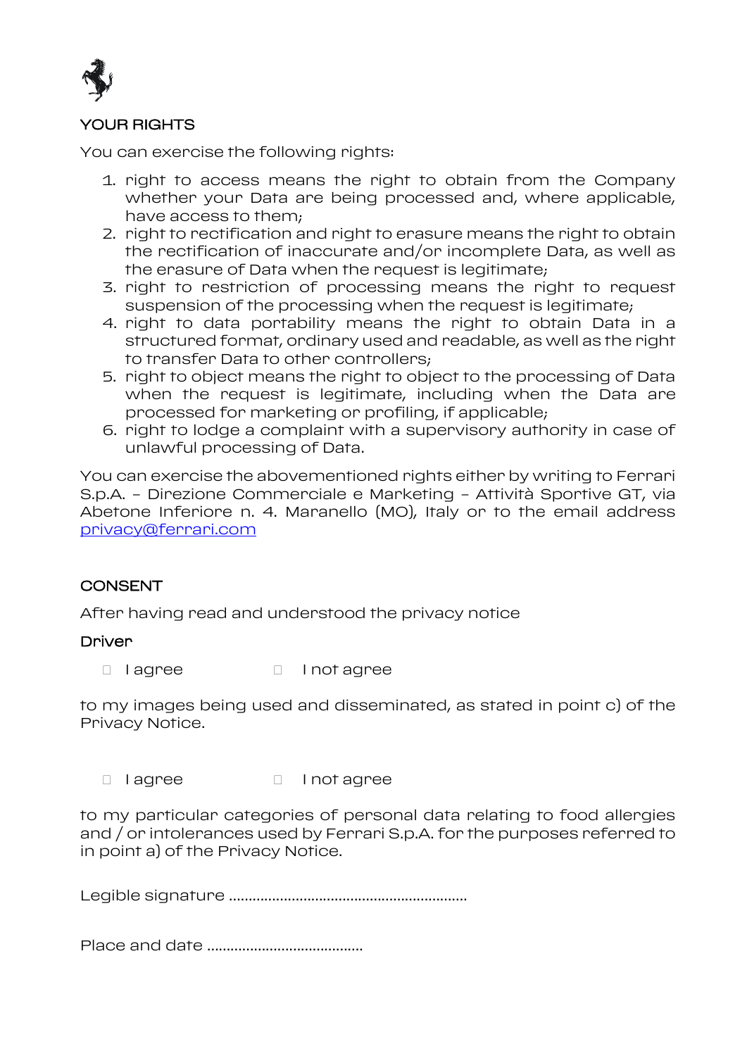

# YOUR RIGHTS

You can exercise the following rights:

- 1. right to access means the right to obtain from the Company whether your Data are being processed and, where applicable, have access to them;
- 2. right to rectification and right to erasure means the right to obtain the rectification of inaccurate and/or incomplete Data, as well as the erasure of Data when the request is legitimate;
- 3. right to restriction of processing means the right to request suspension of the processing when the request is legitimate;
- 4. right to data portability means the right to obtain Data in a structured format, ordinary used and readable, as well as the right to transfer Data to other controllers;
- 5. right to object means the right to object to the processing of Data when the request is legitimate, including when the Data are processed for marketing or profiling, if applicable;
- 6. right to lodge a complaint with a supervisory authority in case of unlawful processing of Data.

You can exercise the abovementioned rights either by writing to Ferrari S.p.A. – Direzione Commerciale e Marketing – Attività Sportive GT, via Abetone Inferiore n. 4. Maranello (MO), Italy or to the email address [privacy@ferrari.com](mailto:privacy@ferrari.com)

# **CONSENT**

After having read and understood the privacy notice

#### **Driver**

I lagree I not agree

to my images being used and disseminated, as stated in point c) of the Privacy Notice.

I lagree I not agree

to my particular categories of personal data relating to food allergies and / or intolerances used by Ferrari S.p.A. for the purposes referred to in point a) of the Privacy Notice.

Legible signature …………………………………………………….

Place and date ………………………………….